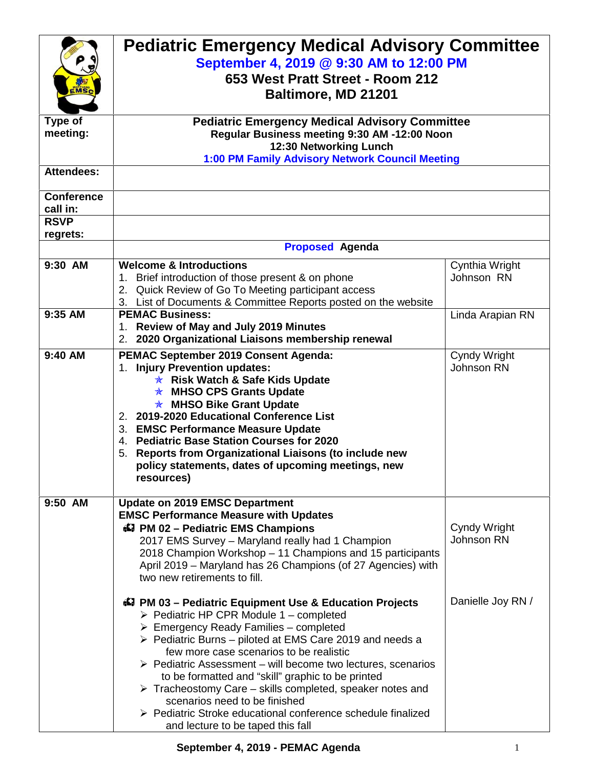|                                        | <b>Pediatric Emergency Medical Advisory Committee</b><br>September 4, 2019 @ 9:30 AM to 12:00 PM<br>653 West Pratt Street - Room 212<br>Baltimore, MD 21201                                                                                                                                                                                                                                                                                                                                                                                                                                                                                            |                              |  |  |  |
|----------------------------------------|--------------------------------------------------------------------------------------------------------------------------------------------------------------------------------------------------------------------------------------------------------------------------------------------------------------------------------------------------------------------------------------------------------------------------------------------------------------------------------------------------------------------------------------------------------------------------------------------------------------------------------------------------------|------------------------------|--|--|--|
| Type of<br>meeting:                    | <b>Pediatric Emergency Medical Advisory Committee</b><br>Regular Business meeting 9:30 AM -12:00 Noon<br>12:30 Networking Lunch<br>1:00 PM Family Advisory Network Council Meeting                                                                                                                                                                                                                                                                                                                                                                                                                                                                     |                              |  |  |  |
| <b>Attendees:</b><br><b>Conference</b> |                                                                                                                                                                                                                                                                                                                                                                                                                                                                                                                                                                                                                                                        |                              |  |  |  |
| call in:                               |                                                                                                                                                                                                                                                                                                                                                                                                                                                                                                                                                                                                                                                        |                              |  |  |  |
| <b>RSVP</b><br>regrets:                |                                                                                                                                                                                                                                                                                                                                                                                                                                                                                                                                                                                                                                                        |                              |  |  |  |
|                                        | <b>Proposed Agenda</b>                                                                                                                                                                                                                                                                                                                                                                                                                                                                                                                                                                                                                                 |                              |  |  |  |
| 9:30 AM                                | <b>Welcome &amp; Introductions</b><br>1. Brief introduction of those present & on phone<br>2. Quick Review of Go To Meeting participant access<br>3. List of Documents & Committee Reports posted on the website                                                                                                                                                                                                                                                                                                                                                                                                                                       | Cynthia Wright<br>Johnson RN |  |  |  |
| 9:35 AM                                | <b>PEMAC Business:</b><br>1. Review of May and July 2019 Minutes<br>2020 Organizational Liaisons membership renewal<br>2.                                                                                                                                                                                                                                                                                                                                                                                                                                                                                                                              | Linda Arapian RN             |  |  |  |
| 9:40 AM                                | <b>PEMAC September 2019 Consent Agenda:</b><br><b>Injury Prevention updates:</b><br>1.<br><b>★ Risk Watch &amp; Safe Kids Update</b><br><b>★ MHSO CPS Grants Update</b><br><b>★ MHSO Bike Grant Update</b><br>2. 2019-2020 Educational Conference List<br>3. EMSC Performance Measure Update<br>4. Pediatric Base Station Courses for 2020<br>5. Reports from Organizational Liaisons (to include new<br>policy statements, dates of upcoming meetings, new<br>resources)                                                                                                                                                                              | Cyndy Wright<br>Johnson RN   |  |  |  |
| 9:50 AM                                | <b>Update on 2019 EMSC Department</b><br><b>EMSC Performance Measure with Updates</b><br>47 PM 02 - Pediatric EMS Champions<br>2017 EMS Survey - Maryland really had 1 Champion<br>2018 Champion Workshop - 11 Champions and 15 participants<br>April 2019 - Maryland has 26 Champions (of 27 Agencies) with<br>two new retirements to fill.                                                                                                                                                                                                                                                                                                           | Cyndy Wright<br>Johnson RN   |  |  |  |
|                                        | 47 PM 03 - Pediatric Equipment Use & Education Projects<br>$\triangleright$ Pediatric HP CPR Module 1 – completed<br>$\triangleright$ Emergency Ready Families - completed<br>$\triangleright$ Pediatric Burns – piloted at EMS Care 2019 and needs a<br>few more case scenarios to be realistic<br>$\triangleright$ Pediatric Assessment – will become two lectures, scenarios<br>to be formatted and "skill" graphic to be printed<br>$\triangleright$ Tracheostomy Care – skills completed, speaker notes and<br>scenarios need to be finished<br>▶ Pediatric Stroke educational conference schedule finalized<br>and lecture to be taped this fall | Danielle Joy RN /            |  |  |  |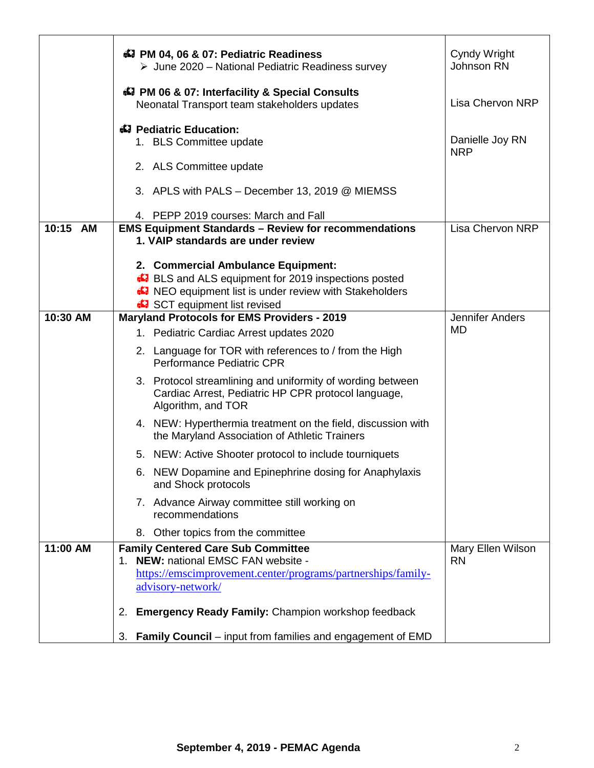|          | <b>47 PM 04, 06 &amp; 07: Pediatric Readiness</b><br>$\triangleright$ June 2020 – National Pediatric Readiness survey                                                                             | Cyndy Wright<br>Johnson RN     |
|----------|---------------------------------------------------------------------------------------------------------------------------------------------------------------------------------------------------|--------------------------------|
|          | 47 PM 06 & 07: Interfacility & Special Consults<br>Neonatal Transport team stakeholders updates                                                                                                   | <b>Lisa Chervon NRP</b>        |
|          | 43 Pediatric Education:<br>1. BLS Committee update                                                                                                                                                | Danielle Joy RN<br><b>NRP</b>  |
|          | 2. ALS Committee update                                                                                                                                                                           |                                |
|          | 3. APLS with PALS - December 13, 2019 @ MIEMSS<br>4. PEPP 2019 courses: March and Fall                                                                                                            |                                |
| 10:15 AM | <b>EMS Equipment Standards - Review for recommendations</b><br>1. VAIP standards are under review                                                                                                 | <b>Lisa Chervon NRP</b>        |
|          | 2. Commercial Ambulance Equipment:<br><b>E.</b> BLS and ALS equipment for 2019 inspections posted<br><b>A.</b> NEO equipment list is under review with Stakeholders<br>SCT equipment list revised |                                |
| 10:30 AM | <b>Maryland Protocols for EMS Providers - 2019</b><br>1. Pediatric Cardiac Arrest updates 2020                                                                                                    | Jennifer Anders<br>MD          |
|          | 2. Language for TOR with references to / from the High<br>Performance Pediatric CPR                                                                                                               |                                |
|          | 3. Protocol streamlining and uniformity of wording between<br>Cardiac Arrest, Pediatric HP CPR protocol language,<br>Algorithm, and TOR                                                           |                                |
|          | 4. NEW: Hyperthermia treatment on the field, discussion with<br>the Maryland Association of Athletic Trainers                                                                                     |                                |
|          | 5. NEW: Active Shooter protocol to include tourniquets                                                                                                                                            |                                |
|          | 6. NEW Dopamine and Epinephrine dosing for Anaphylaxis<br>and Shock protocols                                                                                                                     |                                |
|          | 7. Advance Airway committee still working on<br>recommendations                                                                                                                                   |                                |
|          | 8. Other topics from the committee                                                                                                                                                                |                                |
| 11:00 AM | <b>Family Centered Care Sub Committee</b><br>1. NEW: national EMSC FAN website -                                                                                                                  | Mary Ellen Wilson<br><b>RN</b> |
|          | https://emscimprovement.center/programs/partnerships/family-                                                                                                                                      |                                |
|          | advisory-network/                                                                                                                                                                                 |                                |
|          | <b>Emergency Ready Family: Champion workshop feedback</b><br>2.                                                                                                                                   |                                |
|          | <b>Family Council</b> – input from families and engagement of EMD<br>3.                                                                                                                           |                                |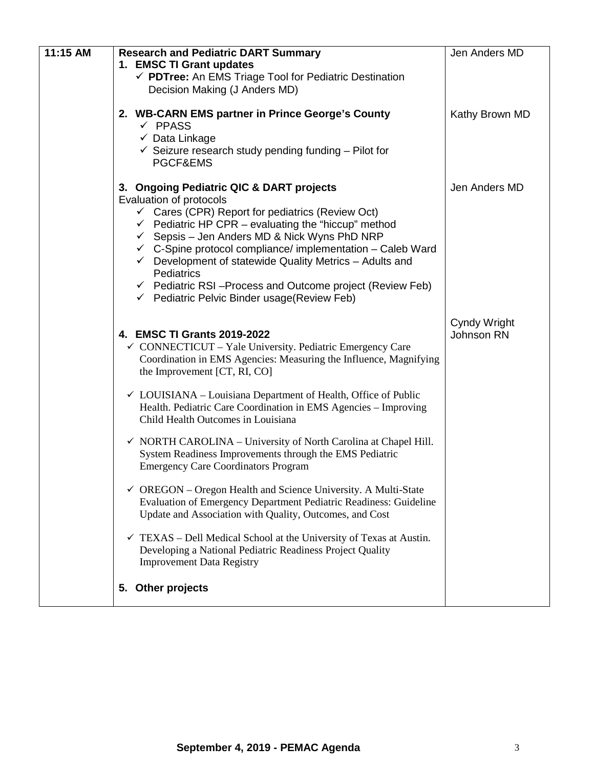| 11:15 AM | <b>Research and Pediatric DART Summary</b><br>1. EMSC TI Grant updates<br>← PDTree: An EMS Triage Tool for Pediatric Destination<br>Decision Making (J Anders MD)                                                                                                                                                                                                                                                                                                                                                                                                        | Jen Anders MD                     |
|----------|--------------------------------------------------------------------------------------------------------------------------------------------------------------------------------------------------------------------------------------------------------------------------------------------------------------------------------------------------------------------------------------------------------------------------------------------------------------------------------------------------------------------------------------------------------------------------|-----------------------------------|
|          | 2. WB-CARN EMS partner in Prince George's County<br>$\checkmark$ PPASS<br>$\checkmark$ Data Linkage<br>$\checkmark$ Seizure research study pending funding – Pilot for<br>PGCF&EMS                                                                                                                                                                                                                                                                                                                                                                                       | Kathy Brown MD                    |
|          | 3. Ongoing Pediatric QIC & DART projects<br>Evaluation of protocols<br>$\checkmark$ Cares (CPR) Report for pediatrics (Review Oct)<br>$\checkmark$ Pediatric HP CPR – evaluating the "hiccup" method<br>$\checkmark$ Sepsis – Jen Anders MD & Nick Wyns PhD NRP<br>$\checkmark$ C-Spine protocol compliance/ implementation - Caleb Ward<br>Development of statewide Quality Metrics - Adults and<br>$\checkmark$<br><b>Pediatrics</b><br>$\checkmark$ Pediatric RSI-Process and Outcome project (Review Feb)<br>$\checkmark$ Pediatric Pelvic Binder usage (Review Feb) | Jen Anders MD                     |
|          | 4. EMSC TI Grants 2019-2022<br>$\checkmark$ CONNECTICUT – Yale University. Pediatric Emergency Care<br>Coordination in EMS Agencies: Measuring the Influence, Magnifying<br>the Improvement [CT, RI, CO]<br>$\checkmark$ LOUISIANA – Louisiana Department of Health, Office of Public                                                                                                                                                                                                                                                                                    | Cyndy Wright<br><b>Johnson RN</b> |
|          | Health. Pediatric Care Coordination in EMS Agencies - Improving<br>Child Health Outcomes in Louisiana                                                                                                                                                                                                                                                                                                                                                                                                                                                                    |                                   |
|          | $\checkmark$ NORTH CAROLINA – University of North Carolina at Chapel Hill.<br>System Readiness Improvements through the EMS Pediatric<br><b>Emergency Care Coordinators Program</b>                                                                                                                                                                                                                                                                                                                                                                                      |                                   |
|          | $\checkmark$ OREGON – Oregon Health and Science University. A Multi-State<br>Evaluation of Emergency Department Pediatric Readiness: Guideline<br>Update and Association with Quality, Outcomes, and Cost                                                                                                                                                                                                                                                                                                                                                                |                                   |
|          | $\checkmark$ TEXAS – Dell Medical School at the University of Texas at Austin.<br>Developing a National Pediatric Readiness Project Quality<br><b>Improvement Data Registry</b>                                                                                                                                                                                                                                                                                                                                                                                          |                                   |
|          | 5. Other projects                                                                                                                                                                                                                                                                                                                                                                                                                                                                                                                                                        |                                   |